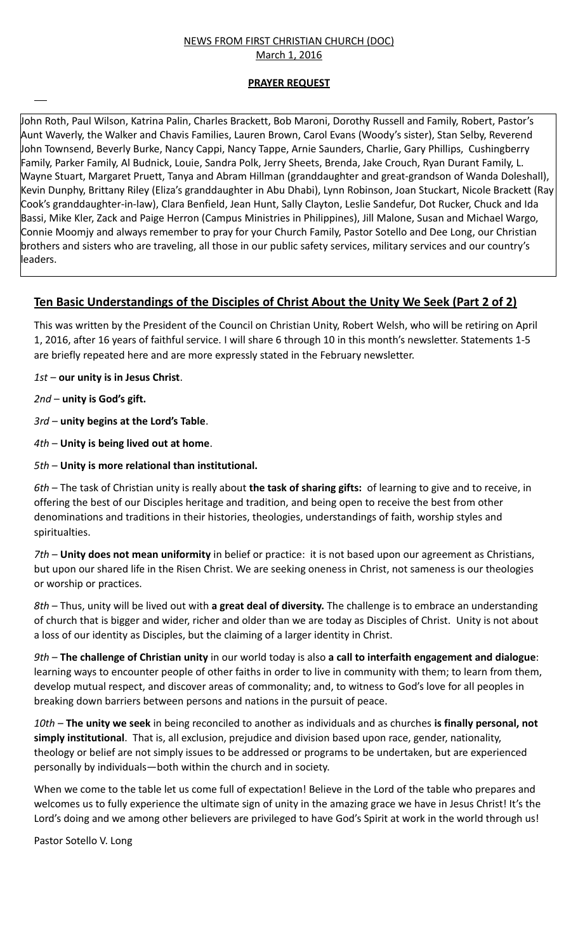#### NEWS FROM FIRST CHRISTIAN CHURCH (DOC) March 1, 2016

### **PRAYER REQUEST**

John Roth, Paul Wilson, Katrina Palin, Charles Brackett, Bob Maroni, Dorothy Russell and Family, Robert, Pastor's Aunt Waverly, the Walker and Chavis Families, Lauren Brown, Carol Evans (Woody's sister), Stan Selby, Reverend John Townsend, Beverly Burke, Nancy Cappi, Nancy Tappe, Arnie Saunders, Charlie, Gary Phillips, Cushingberry Family, Parker Family, Al Budnick, Louie, Sandra Polk, Jerry Sheets, Brenda, Jake Crouch, Ryan Durant Family, L. Wayne Stuart, Margaret Pruett, Tanya and Abram Hillman (granddaughter and great-grandson of Wanda Doleshall), Kevin Dunphy, Brittany Riley (Eliza's granddaughter in Abu Dhabi), Lynn Robinson, Joan Stuckart, Nicole Brackett (Ray Cook's granddaughter-in-law), Clara Benfield, Jean Hunt, Sally Clayton, Leslie Sandefur, Dot Rucker, Chuck and Ida Bassi, Mike Kler, Zack and Paige Herron (Campus Ministries in Philippines), Jill Malone, Susan and Michael Wargo, Connie Moomjy and always remember to pray for your Church Family, Pastor Sotello and Dee Long, our Christian brothers and sisters who are traveling, all those in our public safety services, military services and our country's leaders.

# **Ten Basic Understandings of the Disciples of Christ About the Unity We Seek (Part 2 of 2)**

This was written by the President of the Council on Christian Unity, Robert Welsh, who will be retiring on April 1, 2016, after 16 years of faithful service. I will share 6 through 10 in this month's newsletter. Statements 1-5 are briefly repeated here and are more expressly stated in the February newsletter.

*1st* – **our unity is in Jesus Christ**.

*2nd* – **unity is God's gift.**

*3rd* – **unity begins at the Lord's Table**.

*4th* – **Unity is being lived out at home**.

*5th* – **Unity is more relational than institutional.**

*6th* – The task of Christian unity is really about **the task of sharing gifts:** of learning to give and to receive, in offering the best of our Disciples heritage and tradition, and being open to receive the best from other denominations and traditions in their histories, theologies, understandings of faith, worship styles and spiritualties.

*7th* – **Unity does not mean uniformity** in belief or practice: it is not based upon our agreement as Christians, but upon our shared life in the Risen Christ. We are seeking oneness in Christ, not sameness is our theologies or worship or practices.

*8th* – Thus, unity will be lived out with **a great deal of diversity.** The challenge is to embrace an understanding of church that is bigger and wider, richer and older than we are today as Disciples of Christ. Unity is not about a loss of our identity as Disciples, but the claiming of a larger identity in Christ.

*9th* – **The challenge of Christian unity** in our world today is also **a call to interfaith engagement and dialogue**: learning ways to encounter people of other faiths in order to live in community with them; to learn from them, develop mutual respect, and discover areas of commonality; and, to witness to God's love for all peoples in breaking down barriers between persons and nations in the pursuit of peace.

*10th* – **The unity we seek** in being reconciled to another as individuals and as churches **is finally personal, not simply institutional**. That is, all exclusion, prejudice and division based upon race, gender, nationality, theology or belief are not simply issues to be addressed or programs to be undertaken, but are experienced personally by individuals—both within the church and in society.

When we come to the table let us come full of expectation! Believe in the Lord of the table who prepares and welcomes us to fully experience the ultimate sign of unity in the amazing grace we have in Jesus Christ! It's the Lord's doing and we among other believers are privileged to have God's Spirit at work in the world through us!

Pastor Sotello V. Long